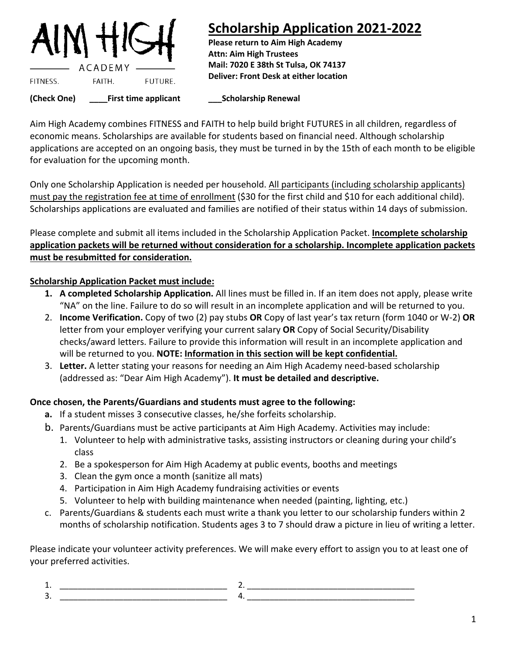

## **Scholarship Application 2021-2022**

**Please return to Aim High Academy Attn: Aim High Trustees Mail: 7020 E 38th St Tulsa, OK 74137 Deliver: Front Desk at either location**

**(Check One) \_\_\_\_First time applicant \_\_\_Scholarship Renewal**

Aim High Academy combines FITNESS and FAITH to help build bright FUTURES in all children, regardless of economic means. Scholarships are available for students based on financial need. Although scholarship applications are accepted on an ongoing basis, they must be turned in by the 15th of each month to be eligible for evaluation for the upcoming month.

Only one Scholarship Application is needed per household. All participants (including scholarship applicants) must pay the registration fee at time of enrollment (\$30 for the first child and \$10 for each additional child). Scholarships applications are evaluated and families are notified of their status within 14 days of submission.

Please complete and submit all items included in the Scholarship Application Packet. **Incomplete scholarship application packets will be returned without consideration for a scholarship. Incomplete application packets must be resubmitted for consideration.**

## **Scholarship Application Packet must include:**

- **1. A completed Scholarship Application.** All lines must be filled in. If an item does not apply, please write "NA" on the line. Failure to do so will result in an incomplete application and will be returned to you.
- 2. **Income Verification.** Copy of two (2) pay stubs **OR** Copy of last year's tax return (form 1040 or W-2) **OR**  letter from your employer verifying your current salary **OR** Copy of Social Security/Disability checks/award letters. Failure to provide this information will result in an incomplete application and will be returned to you. **NOTE: Information in this section will be kept confidential.**
- 3. **Letter.** A letter stating your reasons for needing an Aim High Academy need-based scholarship (addressed as: "Dear Aim High Academy"). **It must be detailed and descriptive.**

## **Once chosen, the Parents/Guardians and students must agree to the following:**

- **a.** If a student misses 3 consecutive classes, he/she forfeits scholarship.
- b. Parents/Guardians must be active participants at Aim High Academy. Activities may include:
	- 1. Volunteer to help with administrative tasks, assisting instructors or cleaning during your child's class
	- 2. Be a spokesperson for Aim High Academy at public events, booths and meetings
	- 3. Clean the gym once a month (sanitize all mats)
	- 4. Participation in Aim High Academy fundraising activities or events
	- 5. Volunteer to help with building maintenance when needed (painting, lighting, etc.)
- c. Parents/Guardians & students each must write a thank you letter to our scholarship funders within 2 months of scholarship notification. Students ages 3 to 7 should draw a picture in lieu of writing a letter.

Please indicate your volunteer activity preferences. We will make every effort to assign you to at least one of your preferred activities.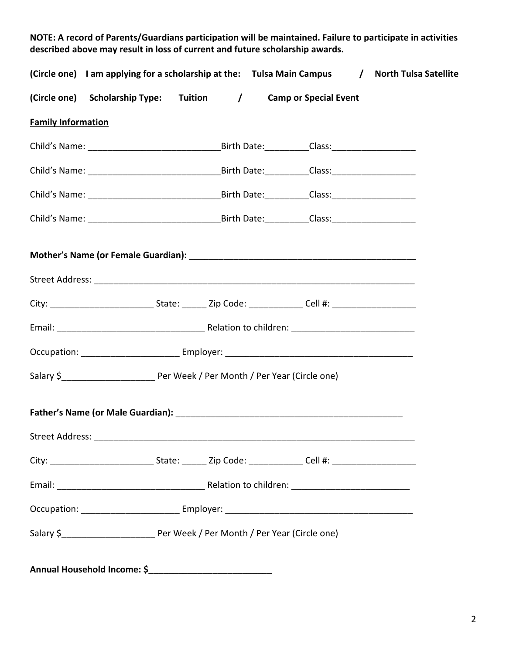| (Circle one) I am applying for a scholarship at the: Tulsa Main Campus / North Tulsa Satellite                 |  |  |  |  |
|----------------------------------------------------------------------------------------------------------------|--|--|--|--|
| (Circle one) Scholarship Type: Tuition / Camp or Special Event                                                 |  |  |  |  |
| <b>Family Information</b>                                                                                      |  |  |  |  |
|                                                                                                                |  |  |  |  |
|                                                                                                                |  |  |  |  |
|                                                                                                                |  |  |  |  |
|                                                                                                                |  |  |  |  |
| City: _________________________________State: __________Zip Code: ___________________Cell #: _________________ |  |  |  |  |
|                                                                                                                |  |  |  |  |
|                                                                                                                |  |  |  |  |
|                                                                                                                |  |  |  |  |
|                                                                                                                |  |  |  |  |
|                                                                                                                |  |  |  |  |
|                                                                                                                |  |  |  |  |
|                                                                                                                |  |  |  |  |
|                                                                                                                |  |  |  |  |

**Annual Household Income: \$\_\_\_\_\_\_\_\_\_\_\_\_\_\_\_\_\_\_\_\_\_\_\_\_\_**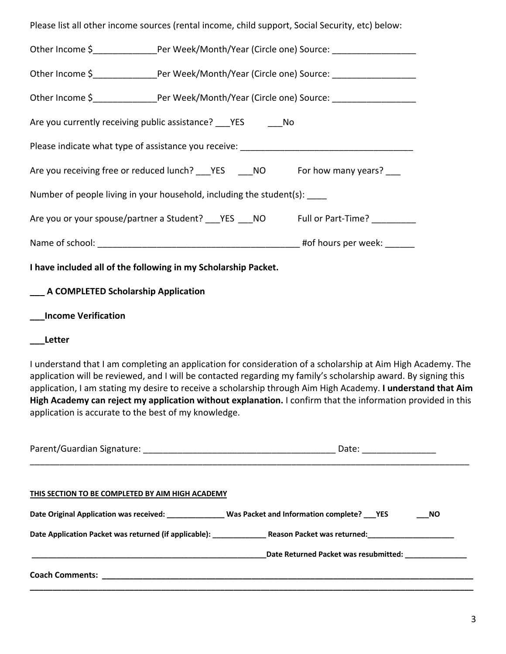| Please list all other income sources (rental income, child support, Social Security, etc) below:                                                                                                                                                                                                                                                                                                                                                                                                                      |  |  |  |  |  |  |  |
|-----------------------------------------------------------------------------------------------------------------------------------------------------------------------------------------------------------------------------------------------------------------------------------------------------------------------------------------------------------------------------------------------------------------------------------------------------------------------------------------------------------------------|--|--|--|--|--|--|--|
| Other Income \$_________________Per Week/Month/Year (Circle one) Source: _____________________                                                                                                                                                                                                                                                                                                                                                                                                                        |  |  |  |  |  |  |  |
| Other Income \$__________________Per Week/Month/Year (Circle one) Source: __________________________                                                                                                                                                                                                                                                                                                                                                                                                                  |  |  |  |  |  |  |  |
| Other Income \$__________________Per Week/Month/Year (Circle one) Source: __________________________                                                                                                                                                                                                                                                                                                                                                                                                                  |  |  |  |  |  |  |  |
| Are you currently receiving public assistance? PES COMO                                                                                                                                                                                                                                                                                                                                                                                                                                                               |  |  |  |  |  |  |  |
|                                                                                                                                                                                                                                                                                                                                                                                                                                                                                                                       |  |  |  |  |  |  |  |
| Are you receiving free or reduced lunch? ___ YES ____ NO For how many years? ___                                                                                                                                                                                                                                                                                                                                                                                                                                      |  |  |  |  |  |  |  |
| Number of people living in your household, including the student(s):                                                                                                                                                                                                                                                                                                                                                                                                                                                  |  |  |  |  |  |  |  |
| Are you or your spouse/partner a Student? ___ YES ___ NO Full or Part-Time? ________                                                                                                                                                                                                                                                                                                                                                                                                                                  |  |  |  |  |  |  |  |
|                                                                                                                                                                                                                                                                                                                                                                                                                                                                                                                       |  |  |  |  |  |  |  |
| I have included all of the following in my Scholarship Packet.                                                                                                                                                                                                                                                                                                                                                                                                                                                        |  |  |  |  |  |  |  |
| ____ A COMPLETED Scholarship Application                                                                                                                                                                                                                                                                                                                                                                                                                                                                              |  |  |  |  |  |  |  |
| <b>Income Verification</b>                                                                                                                                                                                                                                                                                                                                                                                                                                                                                            |  |  |  |  |  |  |  |
| <b>Letter</b>                                                                                                                                                                                                                                                                                                                                                                                                                                                                                                         |  |  |  |  |  |  |  |
| I understand that I am completing an application for consideration of a scholarship at Aim High Academy. The<br>application will be reviewed, and I will be contacted regarding my family's scholarship award. By signing this<br>application, I am stating my desire to receive a scholarship through Aim High Academy. I understand that Aim<br>High Academy can reject my application without explanation. I confirm that the information provided in this<br>application is accurate to the best of my knowledge. |  |  |  |  |  |  |  |
|                                                                                                                                                                                                                                                                                                                                                                                                                                                                                                                       |  |  |  |  |  |  |  |
| THIS SECTION TO BE COMPLETED BY AIM HIGH ACADEMY                                                                                                                                                                                                                                                                                                                                                                                                                                                                      |  |  |  |  |  |  |  |

**Date Original Application was received: \_\_\_\_\_\_\_\_\_\_\_\_\_\_ Was Packet and Information complete? \_\_\_YES \_\_\_NO**

**Coach Comments: \_\_\_\_\_\_\_\_\_\_\_\_\_\_\_\_\_\_\_\_\_\_\_\_\_\_\_\_\_\_\_\_\_\_\_\_\_\_\_\_\_\_\_\_\_\_\_\_\_\_\_\_\_\_\_\_\_\_\_\_\_\_\_\_\_\_\_\_\_\_\_\_\_\_\_\_\_\_\_\_\_\_**

**Date Application Packet was returned (if applicable): \_\_\_\_\_\_\_\_\_\_\_\_\_ Reason Packet was returned:\_\_\_\_\_\_\_\_\_\_\_\_\_\_\_\_\_\_\_\_\_**

**\_\_\_\_\_\_\_\_\_\_\_\_\_\_\_\_\_\_\_\_\_\_\_\_\_\_\_\_\_\_\_\_\_\_\_\_\_\_\_\_\_\_\_\_\_\_\_\_\_\_\_\_\_\_\_\_\_\_\_\_\_\_\_\_\_\_\_\_\_\_\_\_\_\_\_\_\_\_\_\_\_\_\_\_\_\_\_\_\_\_\_\_\_\_\_\_\_\_**

**\_\_\_\_\_\_\_\_\_\_\_\_\_\_\_\_\_\_\_\_\_\_\_\_\_\_\_\_\_\_\_\_\_\_\_\_\_\_\_\_\_\_\_\_\_\_\_\_\_\_\_\_\_\_\_\_\_Date Returned Packet was resubmitted: \_\_\_\_\_\_\_\_\_\_\_\_\_\_\_**

3